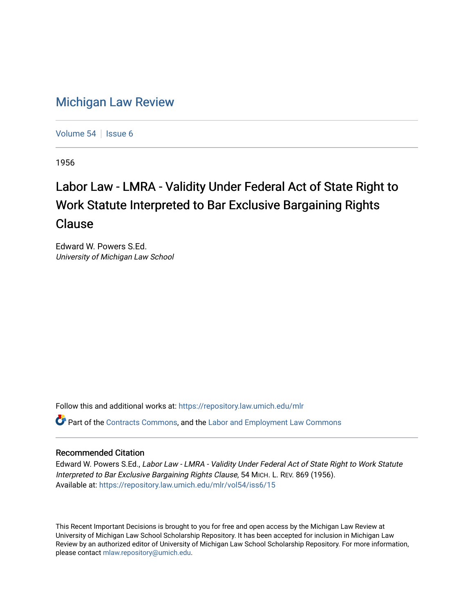## [Michigan Law Review](https://repository.law.umich.edu/mlr)

[Volume 54](https://repository.law.umich.edu/mlr/vol54) | [Issue 6](https://repository.law.umich.edu/mlr/vol54/iss6)

1956

## Labor Law - LMRA - Validity Under Federal Act of State Right to Work Statute Interpreted to Bar Exclusive Bargaining Rights Clause

Edward W. Powers S.Ed. University of Michigan Law School

Follow this and additional works at: [https://repository.law.umich.edu/mlr](https://repository.law.umich.edu/mlr?utm_source=repository.law.umich.edu%2Fmlr%2Fvol54%2Fiss6%2F15&utm_medium=PDF&utm_campaign=PDFCoverPages) 

Part of the [Contracts Commons](http://network.bepress.com/hgg/discipline/591?utm_source=repository.law.umich.edu%2Fmlr%2Fvol54%2Fiss6%2F15&utm_medium=PDF&utm_campaign=PDFCoverPages), and the [Labor and Employment Law Commons](http://network.bepress.com/hgg/discipline/909?utm_source=repository.law.umich.edu%2Fmlr%2Fvol54%2Fiss6%2F15&utm_medium=PDF&utm_campaign=PDFCoverPages)

## Recommended Citation

Edward W. Powers S.Ed., Labor Law - LMRA - Validity Under Federal Act of State Right to Work Statute Interpreted to Bar Exclusive Bargaining Rights Clause, 54 MICH. L. REV. 869 (1956). Available at: [https://repository.law.umich.edu/mlr/vol54/iss6/15](https://repository.law.umich.edu/mlr/vol54/iss6/15?utm_source=repository.law.umich.edu%2Fmlr%2Fvol54%2Fiss6%2F15&utm_medium=PDF&utm_campaign=PDFCoverPages) 

This Recent Important Decisions is brought to you for free and open access by the Michigan Law Review at University of Michigan Law School Scholarship Repository. It has been accepted for inclusion in Michigan Law Review by an authorized editor of University of Michigan Law School Scholarship Repository. For more information, please contact [mlaw.repository@umich.edu.](mailto:mlaw.repository@umich.edu)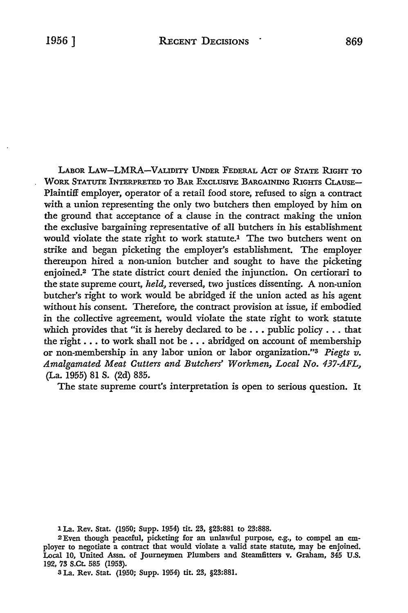LABOR LAW-LMRA-VALIDITY UNDER FEDERAL ACT OF STATE RIGHT TO WORK STATUTE INTERPRETED TO BAR EXCLUSIVE BARGAINING RIGHTS CLAUSE-Plaintiff employer, operator of a retail food store, refused to sign a contract with a union representing the only two butchers then employed by him on the ground that acceptance of a clause in the contract making the union the exclusive bargaining representative of all butchers in his establishment would violate the state right to work statute.1 The two butchers went on strike and began picketing the employer's establishment. The employer thereupon hired a non-union butcher and sought to have the picketing enjoined.2 The state district court denied the injunction. On certiorari **to**  the state supreme court, *held,* reversed, two justices dissenting. A non-union butcher's right to work would be abridged if the union acted as his agent without his consent. Therefore, the contract provision at issue, if embodied in the collective agreement, would violate the state right to work statute which provides that "it is hereby declared to be  $\dots$  public policy  $\dots$  that the right  $\ldots$  to work shall not be  $\ldots$  abridged on account of membership or non-membership in any labor union or labor organization."3 *Piegts v. Amalgamated Meat Cutters and Butchers' Workmen, Local No. 437-AFL,*  (La. 1955) 81 S. (2d) 835.

The state supreme court's interpretation is open to serious question. It

l La. Rev. Stat. (1950; Supp. 1954) tit. 23, §23:881 to 23:888.

2 Even though peaceful, picketing for an unlawful purpose, e.g., to compel an employer to negotiate a contract that would violate a valid state statute, may be enjoined. Local 10, United Assn. of Journeymen Plumbers and Steamfitters v. Graham, 345 U.S. 192, 73 S.Ct. 585 (1953).

3 La. Rev. Stat. (1950; Supp. 1954) tit. 23, §23:881.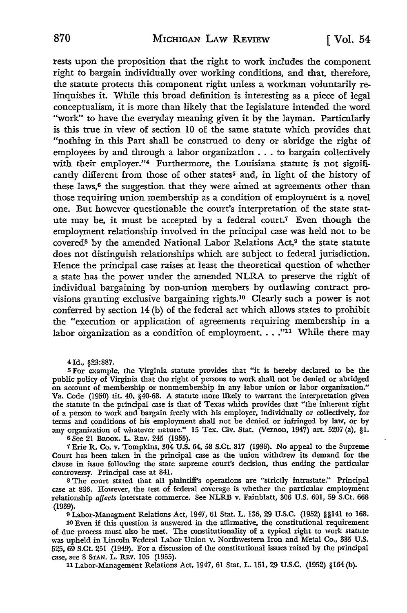rests upon the proposition that the right to work includes the component right to bargain individually over working conditions, and that, therefore, the statute protects this component right unless a workman voluntarily relinquishes it. While this broad definition is interesting as a piece of legal conceptualism, it is more than likely that the legislature intended the word "work" to have the everyday meaning given it by the layman. Particularly is this true in view of section IO of the same statute which provides that "nothing in this Part shall be construed to deny or abridge the right of employees by and through a labor organization ... to bargain collectively with their employer."4 Furthermore, the Louisiana statute is not significantly different from those of other states<sup>5</sup> and, in light of the history of these laws, $6$  the suggestion that they were aimed at agreements other than those requiring union membership as a condition of employment is a novel one. But however questionable the court's interpretation of the state statute may be, it must be accepted by a federal court.<sup>7</sup> Even though the employment relationship involved in the principal case was held not to be covered8 by the amended National Labor Relations Act,9 the state statute does not distinguish relationships which are subject to federal jurisdiction. Hence the principal case raises at least the theoretical question of whether a state has the power under the amended NLRA to preserve the riglit of individual bargaining by non-union members by outlawing contract provisions granting exclusive bargaining rights.1° Clearly such a power is not conferred by section 14 (b) of the federal act which allows states to prohibit the "execution or application of agreements requiring membership in a labor organization as a condition of employment...."<sup>11</sup> While there may

4 Id., §23:887.

<sup>5</sup>For example, the Virginia statute provides that "it is hereby declared to be the public policy of Virginia that the right of persons to work shall not be denied or abridged on account of membership or nonmembership in any labor union or labor organization." Va. Code (1950) tit. 40, §40-68. A statute more likely to warrant the interpretation given the statute in the principal case is that of Texas which provides that "the inherent right of a person to work and bargain freely with his employer, individually or collectively, for terms and conditions of his employment shall not be denied or infringed by law, or by any organization of whatever nature." 15 Tex. Civ. Stat. (Vernon, 1947) art. 5207 (a), §1.

6 See 21 BROOK. L. REv. 245 (1955).

7 Erie R. Co. v. Tompkins, 304 U.S. 64, 58 S.Ct. 817 (1938). No appeal to the Supreme Court has been taken in the principal case as the union withdrew its demand for the clause in issue following the state supreme court's decision, thus ending the particular controversy. Principal case at 841.

s The court stated that all plaintiff's operations are "strictly intrastate." Principal case at 836. However, the test of federal coverage is whether the particular employment relationship affects interstate commerce. See NLRB v. Fainblatt, 306 U.S. 601, 59 S.Ct. 668 (1939).

9 Labor-Managment Relations Act, 1947, 61 Stat. L. 136, 29 U.S.C. (1952) §§141 to 168.

10 Even if this question is answered in the affirmative, the constitutional requirement of due process must also be met. The constitutionality of a typical right to work statute was upheld in Lincoln Federal Labor Union v. Northwestern Iron and Metal Co., 335 U.S. 525, 69 S.Ct. 251 (1949). For a discussion of the constitutional issues raised by the principal case, see 8 STAN. L. REv. 105 (1955).

llLabor-Management Relations Act, 1947, 61 Stat. L. 151, 29 U.S.C. (1952) §164(b).